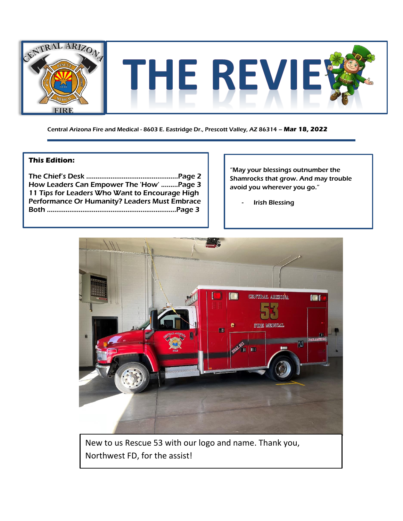

Central Arizona Fire and Medical - 8603 E. Eastridge Dr., Prescott Valley, AZ 86314 – **Mar 18, 2022**

## **This Edition:**

| How Leaders Can Empower The 'How' Page 3       |  |
|------------------------------------------------|--|
| 11 Tips for Leaders Who Want to Encourage High |  |
| Performance Or Humanity? Leaders Must Embrace  |  |
|                                                |  |
|                                                |  |

"May your blessings outnumber the Shamrocks that grow. And may trouble avoid you wherever you go."

**Irish Blessing** 



New to us Rescue 53 with our logo and name. Thank you, Northwest FD, for the assist!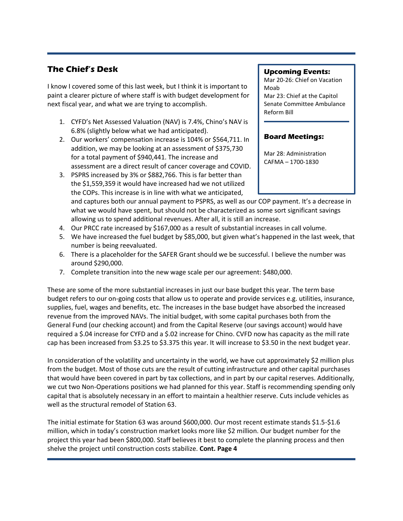## **The Chief's Desk**

I know I covered some of this last week, but I think it is important to paint a clearer picture of where staff is with budget development for next fiscal year, and what we are trying to accomplish.

- 1. CYFD's Net Assessed Valuation (NAV) is 7.4%, Chino's NAV is 6.8% (slightly below what we had anticipated).
- 2. Our workers' compensation increase is 104% or \$564,711. In addition, we may be looking at an assessment of \$375,730 for a total payment of \$940,441. The increase and assessment are a direct result of cancer coverage and COVID.
- 3. PSPRS increased by 3% or \$882,766. This is far better than the \$1,559,359 it would have increased had we not utilized the COPs. This increase is in line with what we anticipated,

### **Upcoming Events:**

Mar 20-26: Chief on Vacation Moab Mar 23: Chief at the Capitol Senate Committee Ambulance Reform Bill

## **Board Meetings:**

Mar 28: Administration CAFMA – 1700-1830

and captures both our annual payment to PSPRS, as well as our COP payment. It's a decrease in what we would have spent, but should not be characterized as some sort significant savings allowing us to spend additional revenues. After all, it is still an increase.

- 4. Our PRCC rate increased by \$167,000 as a result of substantial increases in call volume.
- 5. We have increased the fuel budget by \$85,000, but given what's happened in the last week, that number is being reevaluated.
- 6. There is a placeholder for the SAFER Grant should we be successful. I believe the number was around \$290,000.
- 7. Complete transition into the new wage scale per our agreement: \$480,000.

These are some of the more substantial increases in just our base budget this year. The term base budget refers to our on-going costs that allow us to operate and provide services e.g. utilities, insurance, supplies, fuel, wages and benefits, etc. The increases in the base budget have absorbed the increased revenue from the improved NAVs. The initial budget, with some capital purchases both from the General Fund (our checking account) and from the Capital Reserve (our savings account) would have required a \$.04 increase for CYFD and a \$.02 increase for Chino. CVFD now has capacity as the mill rate cap has been increased from \$3.25 to \$3.375 this year. It will increase to \$3.50 in the next budget year.

In consideration of the volatility and uncertainty in the world, we have cut approximately \$2 million plus from the budget. Most of those cuts are the result of cutting infrastructure and other capital purchases that would have been covered in part by tax collections, and in part by our capital reserves. Additionally, we cut two Non-Operations positions we had planned for this year. Staff is recommending spending only capital that is absolutely necessary in an effort to maintain a healthier reserve. Cuts include vehicles as well as the structural remodel of Station 63.

The initial estimate for Station 63 was around \$600,000. Our most recent estimate stands \$1.5-\$1.6 million, which in today's construction market looks more like \$2 million. Our budget number for the project this year had been \$800,000. Staff believes it best to complete the planning process and then shelve the project until construction costs stabilize. **Cont. Page 4**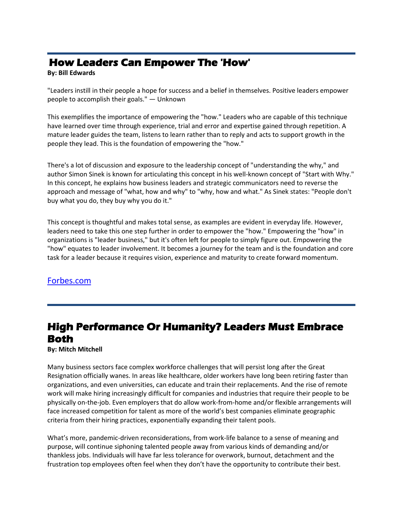# **How Leaders Can Empower The 'How'**

### **By: Bill Edwards**

"Leaders instill in their people a hope for success and a belief in themselves. Positive leaders empower people to accomplish their goals." — Unknown

This exemplifies the importance of empowering the "how." Leaders who are capable of this technique have learned over time through experience, trial and error and expertise gained through repetition. A mature leader guides the team, listens to learn rather than to reply and acts to support growth in the people they lead. This is the foundation of empowering the "how."

There's a lot of discussion and exposure to the leadership concept of "understanding the why," and author Simon Sinek is known for articulating this concept in his well-known concept of "Start with Why." In this concept, he explains how business leaders and strategic communicators need to reverse the approach and message of "what, how and why" to "why, how and what." As Sinek states: "People don't buy what you do, they buy why you do it."

This concept is thoughtful and makes total sense, as examples are evident in everyday life. However, leaders need to take this one step further in order to empower the "how." Empowering the "how" in organizations is "leader business," but it's often left for people to simply figure out. Empowering the "how" equates to leader involvement. It becomes a journey for the team and is the foundation and core task for a leader because it requires vision, experience and maturity to create forward momentum.

## [Forbes.com](https://www.forbes.com/sites/forbestechcouncil/2022/02/24/how-leaders-can-empower-the-how/?sh=c9ae20179d83)

# **High Performance Or Humanity? Leaders Must Embrace Both**

#### **By: Mitch Mitchell**

Many business sectors face complex workforce challenges that will persist long after the Great Resignation officially wanes. In areas like healthcare, older workers have long been retiring faster than organizations, and even universities, can educate and train their replacements. And the rise of remote work will make hiring increasingly difficult for companies and industries that require their people to be physically on-the-job. Even employers that do allow work-from-home and/or flexible arrangements will face increased competition for talent as more of the world's best companies eliminate geographic criteria from their hiring practices, exponentially expanding their talent pools.

What's more, pandemic-driven reconsiderations, from work-life balance to a sense of meaning and purpose, will continue siphoning talented people away from various kinds of demanding and/or thankless jobs. Individuals will have far less tolerance for overwork, burnout, detachment and the frustration top employees often feel when they don't have the opportunity to contribute their best.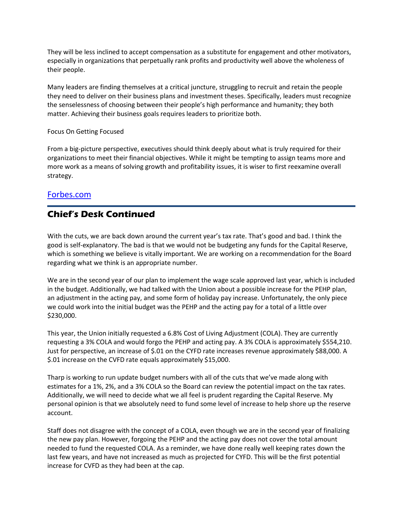They will be less inclined to accept compensation as a substitute for engagement and other motivators, especially in organizations that perpetually rank profits and productivity well above the wholeness of their people.

Many leaders are finding themselves at a critical juncture, struggling to recruit and retain the people they need to deliver on their business plans and investment theses. Specifically, leaders must recognize the senselessness of choosing between their people's high performance and humanity; they both matter. Achieving their business goals requires leaders to prioritize both.

Focus On Getting Focused

From a big-picture perspective, executives should think deeply about what is truly required for their organizations to meet their financial objectives. While it might be tempting to assign teams more and more work as a means of solving growth and profitability issues, it is wiser to first reexamine overall strategy.

## [Forbes.com](https://www.forbes.com/sites/forbescoachescouncil/2022/02/23/high-performance-or-humanity-leaders-must-embrace-both/?sh=136b135738ec)

# **Chief's Desk Continued**

With the cuts, we are back down around the current year's tax rate. That's good and bad. I think the good is self-explanatory. The bad is that we would not be budgeting any funds for the Capital Reserve, which is something we believe is vitally important. We are working on a recommendation for the Board regarding what we think is an appropriate number.

We are in the second year of our plan to implement the wage scale approved last year, which is included in the budget. Additionally, we had talked with the Union about a possible increase for the PEHP plan, an adjustment in the acting pay, and some form of holiday pay increase. Unfortunately, the only piece we could work into the initial budget was the PEHP and the acting pay for a total of a little over \$230,000.

This year, the Union initially requested a 6.8% Cost of Living Adjustment (COLA). They are currently requesting a 3% COLA and would forgo the PEHP and acting pay. A 3% COLA is approximately \$554,210. Just for perspective, an increase of \$.01 on the CYFD rate increases revenue approximately \$88,000. A \$.01 increase on the CVFD rate equals approximately \$15,000.

Tharp is working to run update budget numbers with all of the cuts that we've made along with estimates for a 1%, 2%, and a 3% COLA so the Board can review the potential impact on the tax rates. Additionally, we will need to decide what we all feel is prudent regarding the Capital Reserve. My personal opinion is that we absolutely need to fund some level of increase to help shore up the reserve account.

Staff does not disagree with the concept of a COLA, even though we are in the second year of finalizing the new pay plan. However, forgoing the PEHP and the acting pay does not cover the total amount needed to fund the requested COLA. As a reminder, we have done really well keeping rates down the last few years, and have not increased as much as projected for CYFD. This will be the first potential increase for CVFD as they had been at the cap.